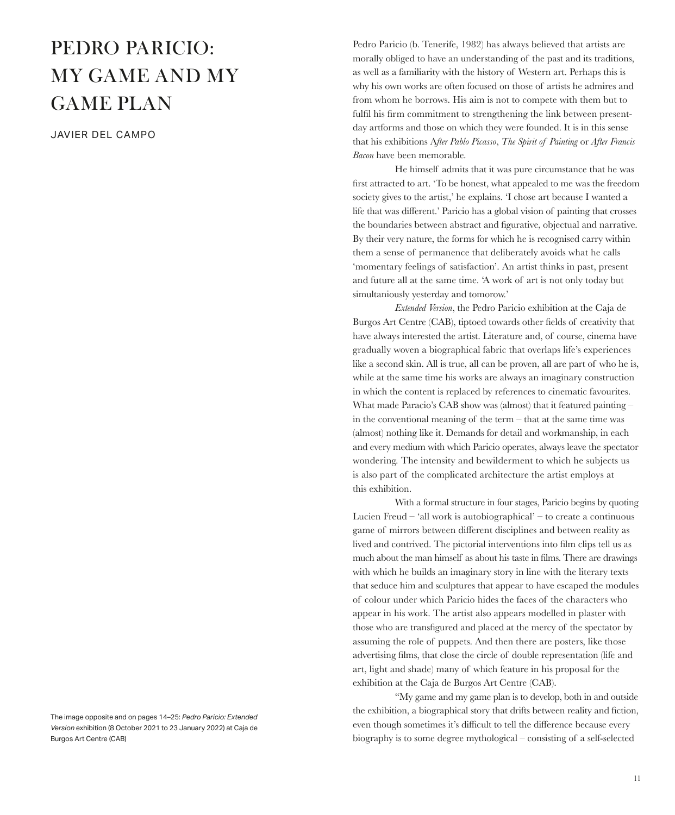## PEDRO PARICIO: MY GAME AND MY GAME PLAN

JAVIER DEL CAMPO

The image opposite and on pages 14–25: *Pedro Paricio: Extended Version* exhibition (8 October 2021 to 23 January 2022) at Caja de Burgos Art Centre (CAB)

Pedro Paricio (b. Tenerife, 1982) has always believed that artists are morally obliged to have an understanding of the past and its traditions, as well as a familiarity with the history of Western art. Perhaps this is why his own works are often focused on those of artists he admires and from whom he borrows. His aim is not to compete with them but to fulfil his firm commitment to strengthening the link between presentday artforms and those on which they were founded. It is in this sense that his exhibitions A*fter Pablo Picasso*, *The Spirit of Painting* or *After Francis Bacon* have been memorable.

He himself admits that it was pure circumstance that he was first attracted to art. 'To be honest, what appealed to me was the freedom society gives to the artist,' he explains. 'I chose art because I wanted a life that was different.' Paricio has a global vision of painting that crosses the boundaries between abstract and figurative, objectual and narrative. By their very nature, the forms for which he is recognised carry within them a sense of permanence that deliberately avoids what he calls 'momentary feelings of satisfaction'. An artist thinks in past, present and future all at the same time. 'A work of art is not only today but simultaniously yesterday and tomorow.'

*Extended Version*, the Pedro Paricio exhibition at the Caja de Burgos Art Centre (CAB), tiptoed towards other fields of creativity that have always interested the artist. Literature and, of course, cinema have gradually woven a biographical fabric that overlaps life's experiences like a second skin. All is true, all can be proven, all are part of who he is, while at the same time his works are always an imaginary construction in which the content is replaced by references to cinematic favourites. What made Paracio's CAB show was (almost) that it featured painting – in the conventional meaning of the term  $-$  that at the same time was (almost) nothing like it. Demands for detail and workmanship, in each and every medium with which Paricio operates, always leave the spectator wondering. The intensity and bewilderment to which he subjects us is also part of the complicated architecture the artist employs at this exhibition.

With a formal structure in four stages, Paricio begins by quoting Lucien Freud – 'all work is autobiographical' – to create a continuous game of mirrors between different disciplines and between reality as lived and contrived. The pictorial interventions into film clips tell us as much about the man himself as about his taste in films. There are drawings with which he builds an imaginary story in line with the literary texts that seduce him and sculptures that appear to have escaped the modules of colour under which Paricio hides the faces of the characters who appear in his work. The artist also appears modelled in plaster with those who are transfigured and placed at the mercy of the spectator by assuming the role of puppets. And then there are posters, like those advertising films, that close the circle of double representation (life and art, light and shade) many of which feature in his proposal for the exhibition at the Caja de Burgos Art Centre (CAB).

"My game and my game plan is to develop, both in and outside the exhibition, a biographical story that drifts between reality and fiction, even though sometimes it's difficult to tell the difference because every biography is to some degree mythological – consisting of a self-selected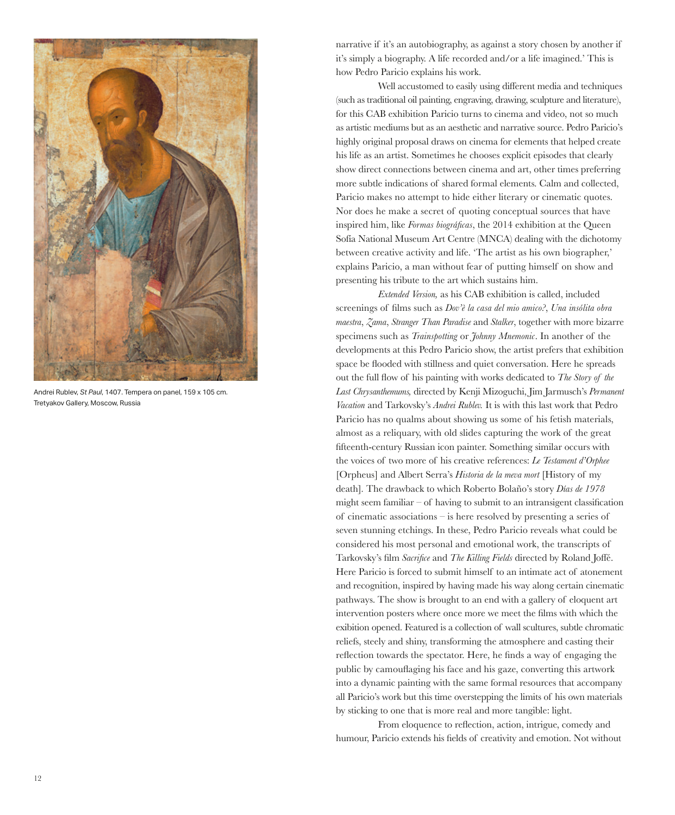

Andrei Rublev, *St Paul*, 1407. Tempera on panel, 159 x 105 cm. Tretyakov Gallery, Moscow, Russia

narrative if it's an autobiography, as against a story chosen by another if it's simply a biography. A life recorded and/or a life imagined.' This is how Pedro Paricio explains his work.

Well accustomed to easily using different media and techniques (such as traditional oil painting, engraving, drawing, sculpture and literature), for this CAB exhibition Paricio turns to cinema and video, not so much as artistic mediums but as an aesthetic and narrative source. Pedro Paricio's highly original proposal draws on cinema for elements that helped create his life as an artist. Sometimes he chooses explicit episodes that clearly show direct connections between cinema and art, other times preferring more subtle indications of shared formal elements. Calm and collected, Paricio makes no attempt to hide either literary or cinematic quotes. Nor does he make a secret of quoting conceptual sources that have inspired him, like *Formas biográficas*, the 2014 exhibition at the Queen Sofía National Museum Art Centre (MNCA) dealing with the dichotomy between creative activity and life. 'The artist as his own biographer,' explains Paricio, a man without fear of putting himself on show and presenting his tribute to the art which sustains him.

*Extended Version,* as his CAB exhibition is called, included screenings of films such as *Dov'è la casa del mio amico?*, *Una insólita obra maestra*, *Zama*, *Stranger Than Paradise* and *Stalker*, together with more bizarre specimens such as *Trainspotting* or *Johnny Mnemonic*. In another of the developments at this Pedro Paricio show, the artist prefers that exhibition space be flooded with stillness and quiet conversation. Here he spreads out the full flow of his painting with works dedicated to *The Story of the Last Chrysanthemums,* directed by Kenji Mizoguchi, Jim Jarmusch's *Permanent Vacation* and Tarkovsky's *Andrei Rublev.* It is with this last work that Pedro Paricio has no qualms about showing us some of his fetish materials, almost as a reliquary, with old slides capturing the work of the great fifteenth-century Russian icon painter. Something similar occurs with the voices of two more of his creative references: *Le Testament d'Orphee*  [Orpheus] and Albert Serra's *Historia de la meva mort* [History of my death]*.* The drawback to which Roberto Bolaño's story *Días de 1978* might seem familiar  $-$  of having to submit to an intransigent classification of cinematic associations – is here resolved by presenting a series of seven stunning etchings. In these, Pedro Paricio reveals what could be considered his most personal and emotional work, the transcripts of Tarkovsky's film *Sacrifice* and *The Killing Fields* directed by Roland Joffé. Here Paricio is forced to submit himself to an intimate act of atonement and recognition, inspired by having made his way along certain cinematic pathways. The show is brought to an end with a gallery of eloquent art intervention posters where once more we meet the films with which the exibition opened. Featured is a collection of wall scultures, subtle chromatic reliefs, steely and shiny, transforming the atmosphere and casting their reflection towards the spectator. Here, he finds a way of engaging the public by camouflaging his face and his gaze, converting this artwork into a dynamic painting with the same formal resources that accompany all Paricio's work but this time overstepping the limits of his own materials by sticking to one that is more real and more tangible: light.

From eloquence to reflection, action, intrigue, comedy and humour, Paricio extends his fields of creativity and emotion. Not without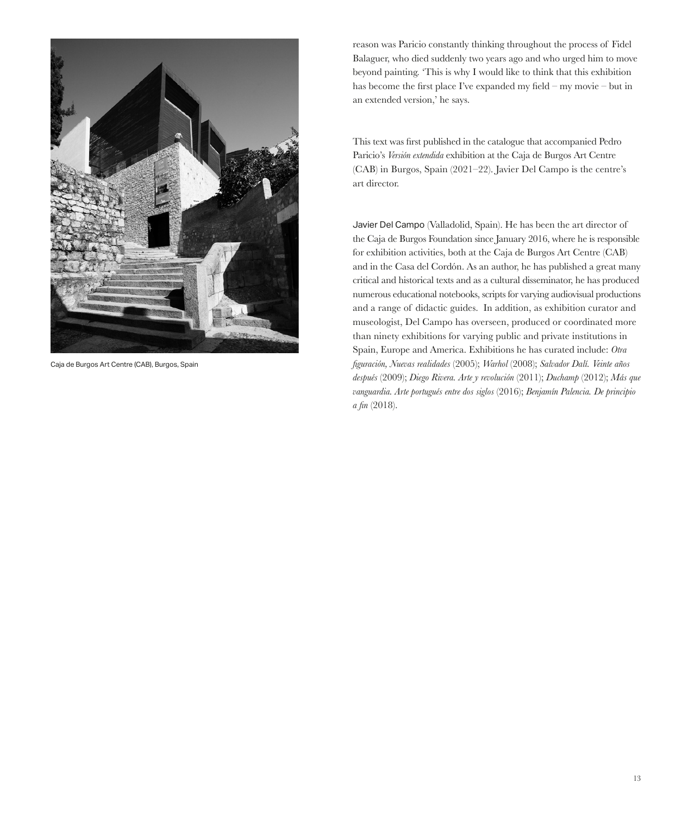

Caja de Burgos Art Centre (CAB), Burgos, Spain

reason was Paricio constantly thinking throughout the process of Fidel Balaguer, who died suddenly two years ago and who urged him to move beyond painting. 'This is why I would like to think that this exhibition has become the first place I've expanded my field – my movie – but in an extended version,' he says.

This text was first published in the catalogue that accompanied Pedro Paricio's *Versión extendida* exhibition at the Caja de Burgos Art Centre (CAB) in Burgos, Spain (2021–22). Javier Del Campo is the centre's art director.

Javier Del Campo (Valladolid, Spain). He has been the art director of the Caja de Burgos Foundation since January 2016, where he is responsible for exhibition activities, both at the Caja de Burgos Art Centre (CAB) and in the Casa del Cordón. As an author, he has published a great many critical and historical texts and as a cultural disseminator, he has produced numerous educational notebooks, scripts for varying audiovisual productions and a range of didactic guides. In addition, as exhibition curator and museologist, Del Campo has overseen, produced or coordinated more than ninety exhibitions for varying public and private institutions in Spain, Europe and America. Exhibitions he has curated include: *Otra figuración, Nuevas realidades* (2005); *Warhol* (2008); *Salvador Dalí. Veinte años después* (2009); *Diego Rivera. Arte y revolución* (2011); *Duchamp* (2012); *Más que vanguardia. Arte portugués entre dos siglos* (2016); *Benjamín Palencia. De principio a fin* (2018).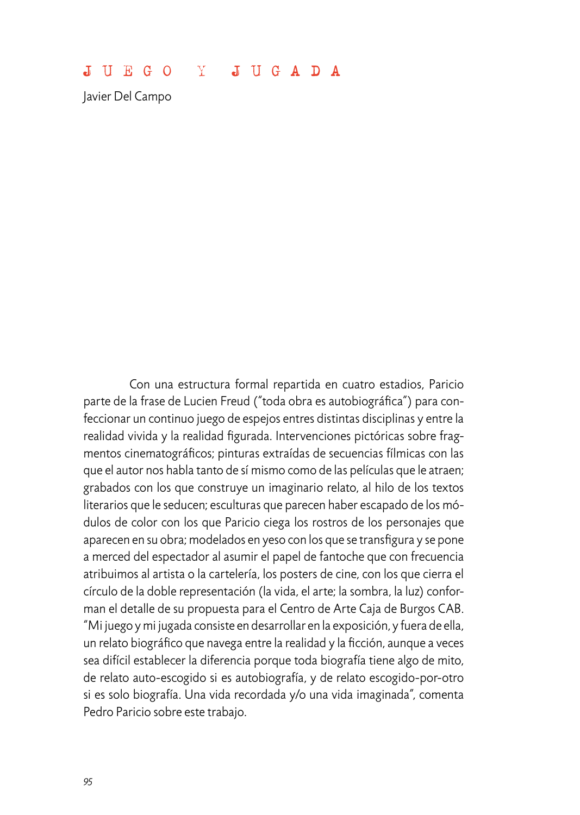## JUEGO Y JUGADA

Javier Del Campo

Con una estructura formal repartida en cuatro estadios, Paricio parte de la frase de Lucien Freud ("toda obra es autobiográfica") para confeccionar un continuo juego de espejos entres distintas disciplinas y entre la realidad vivida y la realidad figurada. Intervenciones pictóricas sobre fragmentos cinematográficos; pinturas extraídas de secuencias fílmicas con las que el autor nos habla tanto de sí mismo como de las películas que le atraen; grabados con los que construye un imaginario relato, al hilo de los textos literarios que le seducen; esculturas que parecen haber escapado de los módulos de color con los que Paricio ciega los rostros de los personajes que aparecen en su obra; modelados en yeso con los que se transfigura y se pone a merced del espectador al asumir el papel de fantoche que con frecuencia atribuimos al artista o la cartelería, los posters de cine, con los que cierra el círculo de la doble representación (la vida, el arte; la sombra, la luz) conforman el detalle de su propuesta para el Centro de Arte Caja de Burgos CAB. "Mi juego y mi jugada consiste en desarrollar en la exposición, y fuera de ella, un relato biográfico que navega entre la realidad y la ficción, aunque a veces sea difícil establecer la diferencia porque toda biografía tiene algo de mito, de relato auto-escogido si es autobiografía, y de relato escogido-por-otro si es solo biografía. Una vida recordada y/o una vida imaginada", comenta Pedro Paricio sobre este trabajo.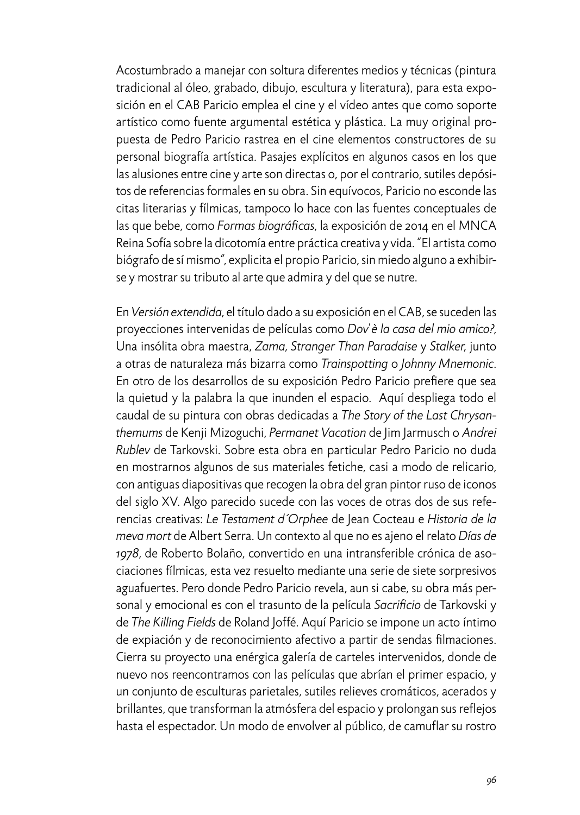Acostumbrado a manejar con soltura diferentes medios y técnicas (pintura tradicional al óleo, grabado, dibujo, escultura y literatura), para esta exposición en el CAB Paricio emplea el cine y el vídeo antes que como soporte artístico como fuente argumental estética y plástica. La muy original propuesta de Pedro Paricio rastrea en el cine elementos constructores de su personal biografía artística. Pasajes explícitos en algunos casos en los que las alusiones entre cine y arte son directas o, por el contrario, sutiles depósitos de referencias formales en su obra. Sin equívocos, Paricio no esconde las citas literarias y fílmicas, tampoco lo hace con las fuentes conceptuales de las que bebe, como *Formas biográficas*, la exposición de 2014 en el MNCA Reina Sofía sobre la dicotomía entre práctica creativa y vida. "El artista como biógrafo de sí mismo", explicita el propio Paricio, sin miedo alguno a exhibirse y mostrar su tributo al arte que admira y del que se nutre.

En *Versión extendida*, el título dado a su exposición en el CAB, se suceden las proyecciones intervenidas de películas como *Dov'è la casa del mio amico?*, Una insólita obra maestra, *Zama*, *Stranger Than Paradaise* y *Stalker*, junto a otras de naturaleza más bizarra como *Trainspotting* o *Johnny Mnemonic*. En otro de los desarrollos de su exposición Pedro Paricio prefiere que sea la quietud y la palabra la que inunden el espacio. Aquí despliega todo el caudal de su pintura con obras dedicadas a *The Story of the Last Chrysanthemums* de Kenji Mizoguchi, *Permanet Vacation* de Jim Jarmusch o *Andrei Rublev* de Tarkovski. Sobre esta obra en particular Pedro Paricio no duda en mostrarnos algunos de sus materiales fetiche, casi a modo de relicario, con antiguas diapositivas que recogen la obra del gran pintor ruso de iconos del siglo XV. Algo parecido sucede con las voces de otras dos de sus referencias creativas: *Le Testament d´Orphee* de Jean Cocteau e *Historia de la meva mort* de Albert Serra. Un contexto al que no es ajeno el relato *Días de 1978*, de Roberto Bolaño, convertido en una intransferible crónica de asociaciones fílmicas, esta vez resuelto mediante una serie de siete sorpresivos aguafuertes. Pero donde Pedro Paricio revela, aun si cabe, su obra más personal y emocional es con el trasunto de la película *Sacrificio* de Tarkovski y de *The Killing Fields* de Roland Joffé. Aquí Paricio se impone un acto íntimo de expiación y de reconocimiento afectivo a partir de sendas filmaciones. Cierra su proyecto una enérgica galería de carteles intervenidos, donde de nuevo nos reencontramos con las películas que abrían el primer espacio, y un conjunto de esculturas parietales, sutiles relieves cromáticos, acerados y brillantes, que transforman la atmósfera del espacio y prolongan sus reflejos hasta el espectador. Un modo de envolver al público, de camuflar su rostro